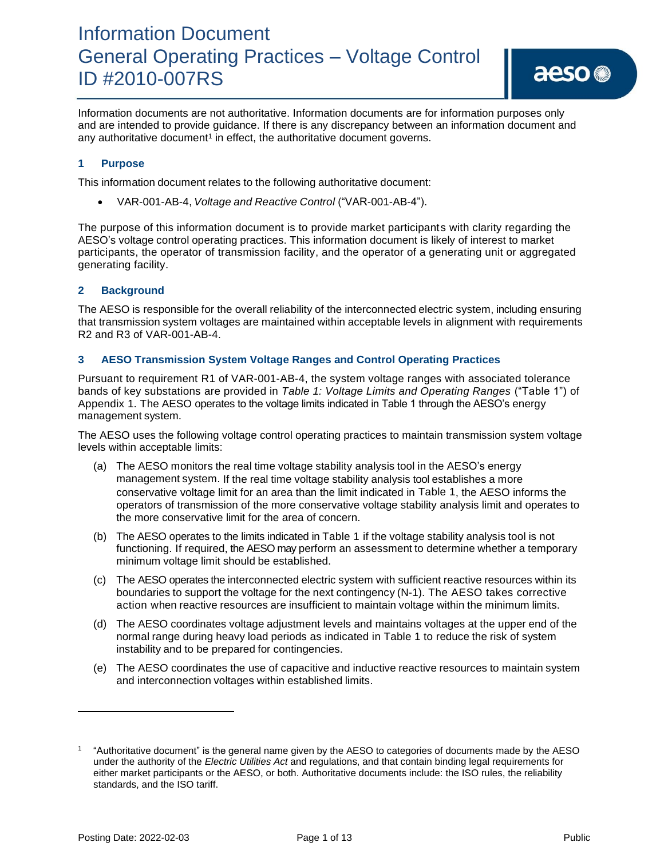Information documents are not authoritative. Information documents are for information purposes only and are intended to provide guidance. If there is any discrepancy between an information document and any authoritative document<sup>1</sup> in effect, the authoritative document governs.

### **1 Purpose**

This information document relates to the following authoritative document:

• VAR-001-AB-4, *Voltage and Reactive Control* ("VAR-001-AB-4").

The purpose of this information document is to provide market participants with clarity regarding the AESO's voltage control operating practices. This information document is likely of interest to market participants, the operator of transmission facility, and the operator of a generating unit or aggregated generating facility.

### **2 Background**

The AESO is responsible for the overall reliability of the interconnected electric system, including ensuring that transmission system voltages are maintained within acceptable levels in alignment with requirements R2 and R3 of VAR-001-AB-4.

### **3 AESO Transmission System Voltage Ranges and Control Operating Practices**

Pursuant to requirement R1 of VAR-001-AB-4, the system voltage ranges with associated tolerance bands of key substations are provided in *Table 1: Voltage Limits and Operating Ranges* ("Table 1") of Appendix 1. The AESO operates to the voltage limits indicated in Table 1 through the AESO's energy management system.

The AESO uses the following voltage control operating practices to maintain transmission system voltage levels within acceptable limits:

- (a) The AESO monitors the real time voltage stability analysis tool in the AESO's energy management system. If the real time voltage stability analysis tool establishes a more conservative voltage limit for an area than the limit indicated in Table 1, the AESO informs the operators of transmission of the more conservative voltage stability analysis limit and operates to the more conservative limit for the area of concern.
- (b) The AESO operates to the limits indicated in Table 1 if the voltage stability analysis tool is not functioning. If required, the AESO may perform an assessment to determine whether a temporary minimum voltage limit should be established.
- (c) The AESO operates the interconnected electric system with sufficient reactive resources within its boundaries to support the voltage for the next contingency (N-1). The AESO takes corrective action when reactive resources are insufficient to maintain voltage within the minimum limits.
- (d) The AESO coordinates voltage adjustment levels and maintains voltages at the upper end of the normal range during heavy load periods as indicated in Table 1 to reduce the risk of system instability and to be prepared for contingencies.
- (e) The AESO coordinates the use of capacitive and inductive reactive resources to maintain system and interconnection voltages within established limits.

<sup>1</sup> "Authoritative document" is the general name given by the AESO to categories of documents made by the AESO under the authority of the *Electric Utilities Act* and regulations, and that contain binding legal requirements for either market participants or the AESO, or both. Authoritative documents include: the ISO rules, the reliability standards, and the ISO tariff.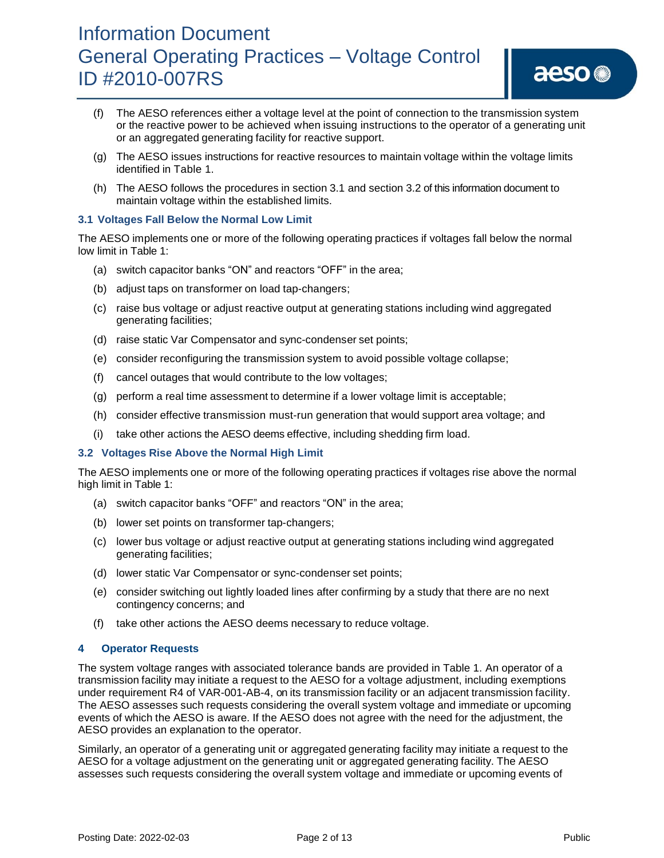- (f) The AESO references either a voltage level at the point of connection to the transmission system or the reactive power to be achieved when issuing instructions to the operator of a generating unit or an aggregated generating facility for reactive support.
- (g) The AESO issues instructions for reactive resources to maintain voltage within the voltage limits identified in Table 1.
- (h) The AESO follows the procedures in section 3.1 and section 3.2 of this information document to maintain voltage within the established limits.

#### **3.1 Voltages Fall Below the Normal Low Limit**

The AESO implements one or more of the following operating practices if voltages fall below the normal low limit in Table 1:

- (a) switch capacitor banks "ON" and reactors "OFF" in the area;
- (b) adjust taps on transformer on load tap-changers;
- (c) raise bus voltage or adjust reactive output at generating stations including wind aggregated generating facilities;
- (d) raise static Var Compensator and sync-condenser set points;
- (e) consider reconfiguring the transmission system to avoid possible voltage collapse;
- (f) cancel outages that would contribute to the low voltages;
- (g) perform a real time assessment to determine if a lower voltage limit is acceptable;
- (h) consider effective transmission must-run generation that would support area voltage; and
- (i) take other actions the AESO deems effective, including shedding firm load.

### **3.2 Voltages Rise Above the Normal High Limit**

The AESO implements one or more of the following operating practices if voltages rise above the normal high limit in Table 1:

- (a) switch capacitor banks "OFF" and reactors "ON" in the area;
- (b) lower set points on transformer tap-changers;
- (c) lower bus voltage or adjust reactive output at generating stations including wind aggregated generating facilities;
- (d) lower static Var Compensator or sync-condenser set points;
- (e) consider switching out lightly loaded lines after confirming by a study that there are no next contingency concerns; and
- (f) take other actions the AESO deems necessary to reduce voltage.

### **4 Operator Requests**

The system voltage ranges with associated tolerance bands are provided in Table 1. An operator of a transmission facility may initiate a request to the AESO for a voltage adjustment, including exemptions under requirement R4 of VAR-001-AB-4, on its transmission facility or an adjacent transmission facility. The AESO assesses such requests considering the overall system voltage and immediate or upcoming events of which the AESO is aware. If the AESO does not agree with the need for the adjustment, the AESO provides an explanation to the operator.

Similarly, an operator of a generating unit or aggregated generating facility may initiate a request to the AESO for a voltage adjustment on the generating unit or aggregated generating facility. The AESO assesses such requests considering the overall system voltage and immediate or upcoming events of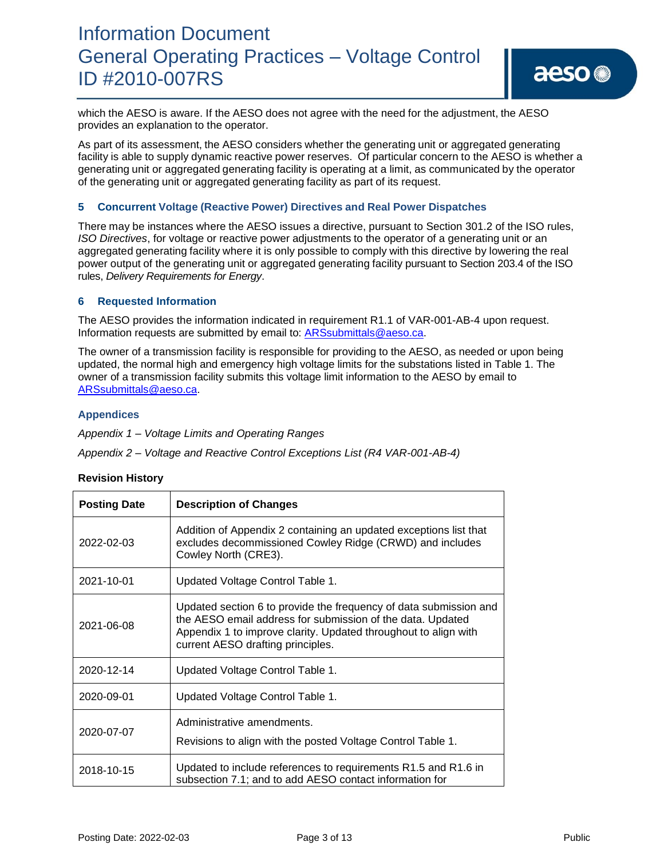which the AESO is aware. If the AESO does not agree with the need for the adjustment, the AESO provides an explanation to the operator.

As part of its assessment, the AESO considers whether the generating unit or aggregated generating facility is able to supply dynamic reactive power reserves. Of particular concern to the AESO is whether a generating unit or aggregated generating facility is operating at a limit, as communicated by the operator of the generating unit or aggregated generating facility as part of its request.

### **5 Concurrent Voltage (Reactive Power) Directives and Real Power Dispatches**

There may be instances where the AESO issues a directive, pursuant to Section 301.2 of the ISO rules, *ISO Directives*, for voltage or reactive power adjustments to the operator of a generating unit or an aggregated generating facility where it is only possible to comply with this directive by lowering the real power output of the generating unit or aggregated generating facility pursuant to Section 203.4 of the ISO rules, *Delivery Requirements for Energy*.

#### **6 Requested Information**

The AESO provides the information indicated in requirement R1.1 of VAR-001-AB-4 upon request. Information requests are submitted by email to: [ARSsubmittals@aeso.ca.](mailto:ARSsubmittals@aeso.ca)

The owner of a transmission facility is responsible for providing to the AESO, as needed or upon being updated, the normal high and emergency high voltage limits for the substations listed in Table 1. The owner of a transmission facility submits this voltage limit information to the AESO by email to [ARSsubmittals@aeso.ca.](mailto:ARSsubmittals@aeso.ca)

#### **Appendices**

*Appendix 1 – Voltage Limits and Operating Ranges* 

*Appendix 2 – Voltage and Reactive Control Exceptions List (R4 VAR-001-AB-4)*

### **Revision History**

| <b>Posting Date</b> | <b>Description of Changes</b>                                                                                                                                                                                                           |
|---------------------|-----------------------------------------------------------------------------------------------------------------------------------------------------------------------------------------------------------------------------------------|
| 2022-02-03          | Addition of Appendix 2 containing an updated exceptions list that<br>excludes decommissioned Cowley Ridge (CRWD) and includes<br>Cowley North (CRE3).                                                                                   |
| 2021-10-01          | Updated Voltage Control Table 1.                                                                                                                                                                                                        |
| 2021-06-08          | Updated section 6 to provide the frequency of data submission and<br>the AESO email address for submission of the data. Updated<br>Appendix 1 to improve clarity. Updated throughout to align with<br>current AESO drafting principles. |
| 2020-12-14          | Updated Voltage Control Table 1.                                                                                                                                                                                                        |
| 2020-09-01          | Updated Voltage Control Table 1.                                                                                                                                                                                                        |
| 2020-07-07          | Administrative amendments.<br>Revisions to align with the posted Voltage Control Table 1.                                                                                                                                               |
| 2018-10-15          | Updated to include references to requirements R1.5 and R1.6 in<br>subsection 7.1; and to add AESO contact information for                                                                                                               |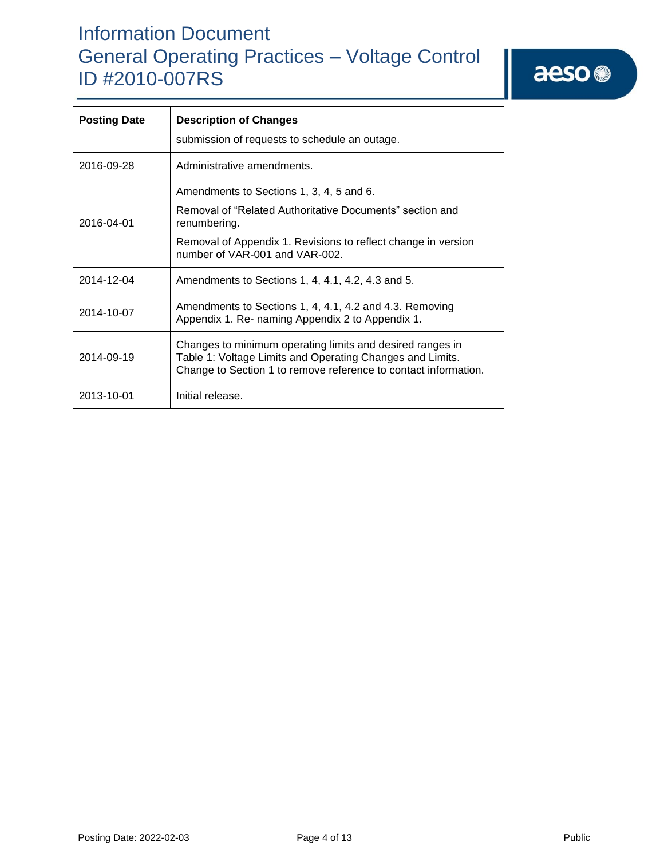| <b>Posting Date</b> | <b>Description of Changes</b>                                                                                                                                                             |  |  |  |  |  |
|---------------------|-------------------------------------------------------------------------------------------------------------------------------------------------------------------------------------------|--|--|--|--|--|
|                     | submission of requests to schedule an outage.                                                                                                                                             |  |  |  |  |  |
| 2016-09-28          | Administrative amendments.                                                                                                                                                                |  |  |  |  |  |
|                     | Amendments to Sections 1, 3, 4, 5 and 6.                                                                                                                                                  |  |  |  |  |  |
| 2016-04-01          | Removal of "Related Authoritative Documents" section and<br>renumbering.                                                                                                                  |  |  |  |  |  |
|                     | Removal of Appendix 1. Revisions to reflect change in version<br>number of VAR-001 and VAR-002.                                                                                           |  |  |  |  |  |
| 2014-12-04          | Amendments to Sections 1, 4, 4.1, 4.2, 4.3 and 5.                                                                                                                                         |  |  |  |  |  |
| 2014-10-07          | Amendments to Sections 1, 4, 4.1, 4.2 and 4.3. Removing<br>Appendix 1. Re- naming Appendix 2 to Appendix 1.                                                                               |  |  |  |  |  |
| 2014-09-19          | Changes to minimum operating limits and desired ranges in<br>Table 1: Voltage Limits and Operating Changes and Limits.<br>Change to Section 1 to remove reference to contact information. |  |  |  |  |  |
| 2013-10-01          | Initial release.                                                                                                                                                                          |  |  |  |  |  |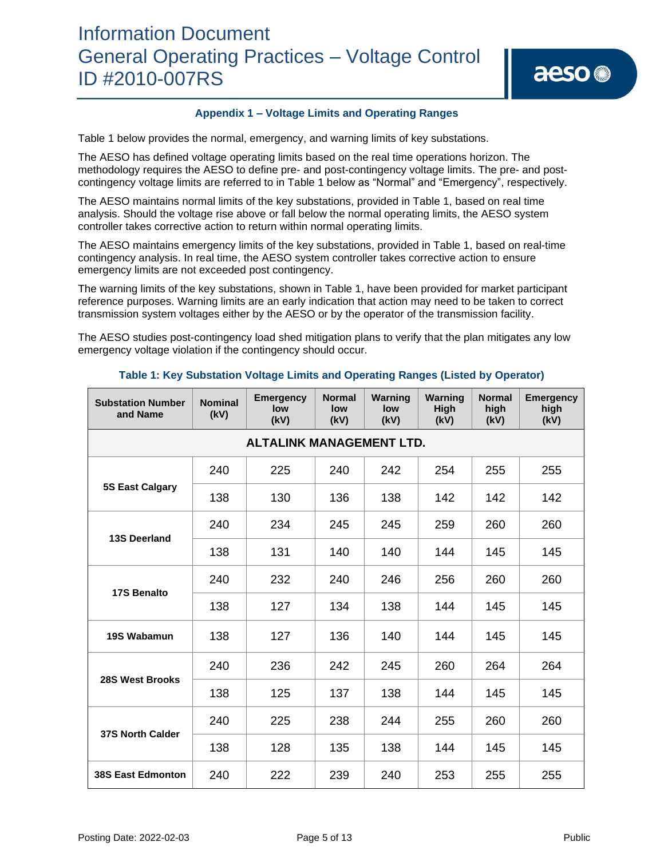#### **Appendix 1 – Voltage Limits and Operating Ranges**

Table 1 below provides the normal, emergency, and warning limits of key substations.

The AESO has defined voltage operating limits based on the real time operations horizon. The methodology requires the AESO to define pre- and post-contingency voltage limits. The pre- and postcontingency voltage limits are referred to in Table 1 below as "Normal" and "Emergency", respectively.

The AESO maintains normal limits of the key substations, provided in Table 1, based on real time analysis. Should the voltage rise above or fall below the normal operating limits, the AESO system controller takes corrective action to return within normal operating limits.

The AESO maintains emergency limits of the key substations, provided in Table 1, based on real-time contingency analysis. In real time, the AESO system controller takes corrective action to ensure emergency limits are not exceeded post contingency.

The warning limits of the key substations, shown in Table 1, have been provided for market participant reference purposes. Warning limits are an early indication that action may need to be taken to correct transmission system voltages either by the AESO or by the operator of the transmission facility.

The AESO studies post-contingency load shed mitigation plans to verify that the plan mitigates any low emergency voltage violation if the contingency should occur.

| <b>Substation Number</b><br>and Name | <b>Nominal</b><br>(kV) | <b>Emergency</b><br>low<br>(kV) | <b>Normal</b><br>low<br>(kV) | Warning<br>low<br>(kV) | Warning<br>High<br>(kV) | <b>Normal</b><br>high<br>(kV) | <b>Emergency</b><br>high<br>(kV) |  |  |  |
|--------------------------------------|------------------------|---------------------------------|------------------------------|------------------------|-------------------------|-------------------------------|----------------------------------|--|--|--|
| <b>ALTALINK MANAGEMENT LTD.</b>      |                        |                                 |                              |                        |                         |                               |                                  |  |  |  |
|                                      | 240                    | 225                             | 240                          | 242                    | 254                     | 255                           | 255                              |  |  |  |
| <b>5S East Calgary</b>               | 138                    | 130                             | 136                          | 138                    | 142                     | 142                           | 142                              |  |  |  |
|                                      | 240                    | 234                             | 245                          | 245                    | 259                     | 260                           | 260                              |  |  |  |
| <b>13S Deerland</b>                  | 138                    | 131                             | 140                          | 140                    | 144                     | 145                           | 145                              |  |  |  |
|                                      | 240                    | 232                             | 240                          | 246                    | 256                     | 260                           | 260                              |  |  |  |
| 17S Benalto                          | 138                    | 127                             | 134                          | 138                    | 144                     | 145                           | 145                              |  |  |  |
| 19S Wabamun                          | 138                    | 127                             | 136                          | 140                    | 144                     | 145                           | 145                              |  |  |  |
| 28S West Brooks                      | 240                    | 236                             | 242                          | 245                    | 260                     | 264                           | 264                              |  |  |  |
|                                      | 138                    | 125                             | 137                          | 138                    | 144                     | 145                           | 145                              |  |  |  |
| <b>37S North Calder</b>              | 240                    | 225                             | 238                          | 244                    | 255                     | 260                           | 260                              |  |  |  |
|                                      | 138                    | 128                             | 135                          | 138                    | 144                     | 145                           | 145                              |  |  |  |
| <b>38S East Edmonton</b>             | 240                    | 222                             | 239                          | 240                    | 253                     | 255                           | 255                              |  |  |  |

#### **Table 1: Key Substation Voltage Limits and Operating Ranges (Listed by Operator)**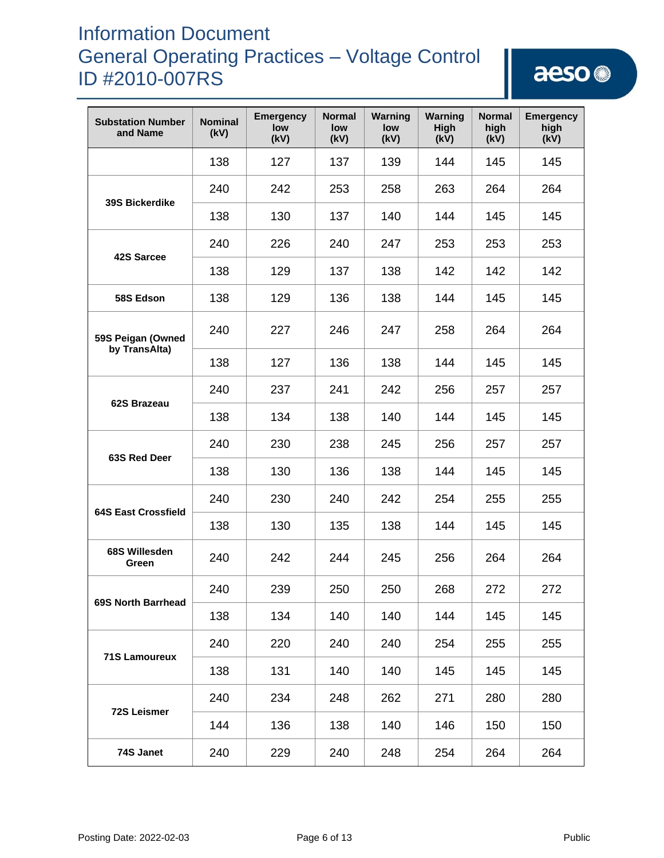| <b>Substation Number</b><br>and Name | <b>Nominal</b><br>(kV) | <b>Emergency</b><br>low<br>(kV) | <b>Normal</b><br>low<br>(kV) | Warning<br>low<br>(kV) | Warning<br>High<br>(kV) | <b>Normal</b><br>high<br>(kV) | <b>Emergency</b><br>high<br>(kV) |
|--------------------------------------|------------------------|---------------------------------|------------------------------|------------------------|-------------------------|-------------------------------|----------------------------------|
|                                      | 138                    | 127                             | 137                          | 139                    | 144                     | 145                           | 145                              |
| <b>39S Bickerdike</b>                | 240                    | 242                             | 253                          | 258                    | 263                     | 264                           | 264                              |
|                                      | 138                    | 130                             | 137                          | 140                    | 144                     | 145                           | 145                              |
| 42S Sarcee                           | 240                    | 226                             | 240                          | 247                    | 253                     | 253                           | 253                              |
|                                      | 138                    | 129                             | 137                          | 138                    | 142                     | 142                           | 142                              |
| 58S Edson                            | 138                    | 129                             | 136                          | 138                    | 144                     | 145                           | 145                              |
| 59S Peigan (Owned<br>by TransAlta)   | 240                    | 227                             | 246                          | 247                    | 258                     | 264                           | 264                              |
|                                      | 138                    | 127                             | 136                          | 138                    | 144                     | 145                           | 145                              |
| 62S Brazeau                          | 240                    | 237                             | 241                          | 242                    | 256                     | 257                           | 257                              |
|                                      | 138                    | 134                             | 138                          | 140                    | 144                     | 145                           | 145                              |
| 63S Red Deer                         | 240                    | 230                             | 238                          | 245                    | 256                     | 257                           | 257                              |
|                                      | 138                    | 130                             | 136                          | 138                    | 144                     | 145                           | 145                              |
| <b>64S East Crossfield</b>           | 240                    | 230                             | 240                          | 242                    | 254                     | 255                           | 255                              |
|                                      | 138                    | 130                             | 135                          | 138                    | 144                     | 145                           | 145                              |
| 68S Willesden<br>Green               | 240                    | 242                             | 244                          | 245                    | 256                     | 264                           | 264                              |
| 69S North Barrhead                   | 240                    | 239                             | 250                          | 250                    | 268                     | 272                           | 272                              |
|                                      | 138                    | 134                             | 140                          | 140                    | 144                     | 145                           | 145                              |
| <b>71S Lamoureux</b>                 | 240                    | 220                             | 240                          | 240                    | 254                     | 255                           | 255                              |
|                                      | 138                    | 131                             | 140                          | 140                    | 145                     | 145                           | 145                              |
| <b>72S Leismer</b>                   | 240                    | 234                             | 248                          | 262                    | 271                     | 280                           | 280                              |
|                                      | 144                    | 136                             | 138                          | 140                    | 146                     | 150                           | 150                              |
| 74S Janet                            | 240                    | 229                             | 240                          | 248                    | 254                     | 264                           | 264                              |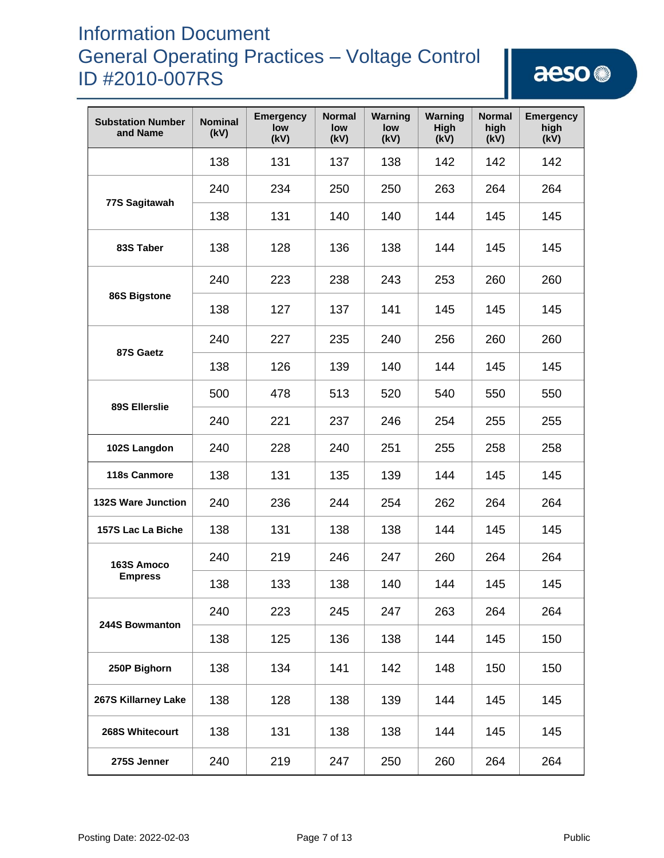| <b>Substation Number</b><br>and Name | <b>Nominal</b><br>(kV) | <b>Emergency</b><br>low<br>(kV) | <b>Normal</b><br>low<br>(kV) | Warning<br>low<br>(kV) | Warning<br>High<br>(kV) | <b>Normal</b><br>high<br>(kV) | <b>Emergency</b><br>high<br>(kV) |
|--------------------------------------|------------------------|---------------------------------|------------------------------|------------------------|-------------------------|-------------------------------|----------------------------------|
|                                      | 138                    | 131                             | 137                          | 138                    | 142                     | 142                           | 142                              |
|                                      | 240                    | 234                             | 250                          | 250                    | 263                     | 264                           | 264                              |
| 77S Sagitawah                        | 138                    | 131                             | 140                          | 140                    | 144                     | 145                           | 145                              |
| 83S Taber                            | 138                    | 128                             | 136                          | 138                    | 144                     | 145                           | 145                              |
|                                      | 240                    | 223                             | 238                          | 243                    | 253                     | 260                           | 260                              |
| 86S Bigstone                         | 138                    | 127                             | 137                          | 141                    | 145                     | 145                           | 145                              |
| 87S Gaetz                            | 240                    | 227                             | 235                          | 240                    | 256                     | 260                           | 260                              |
|                                      | 138                    | 126                             | 139                          | 140                    | 144                     | 145                           | 145                              |
| 89S Ellerslie                        | 500                    | 478                             | 513                          | 520                    | 540                     | 550                           | 550                              |
|                                      | 240                    | 221                             | 237                          | 246                    | 254                     | 255                           | 255                              |
| 102S Langdon                         | 240                    | 228                             | 240                          | 251                    | 255                     | 258                           | 258                              |
| 118s Canmore                         | 138                    | 131                             | 135                          | 139                    | 144                     | 145                           | 145                              |
| <b>132S Ware Junction</b>            | 240                    | 236                             | 244                          | 254                    | 262                     | 264                           | 264                              |
| 157S Lac La Biche                    | 138                    | 131                             | 138                          | 138                    | 144                     | 145                           | 145                              |
| 163S Amoco                           | 240                    | 219                             | 246                          | 247                    | 260                     | 264                           | 264                              |
| <b>Empress</b>                       | 138                    | 133                             | 138                          | 140                    | 144                     | 145                           | 145                              |
| 244S Bowmanton                       | 240                    | 223                             | 245                          | 247                    | 263                     | 264                           | 264                              |
|                                      | 138                    | 125                             | 136                          | 138                    | 144                     | 145                           | 150                              |
| 250P Bighorn                         | 138                    | 134                             | 141                          | 142                    | 148                     | 150                           | 150                              |
| 267S Killarney Lake                  | 138                    | 128                             | 138                          | 139                    | 144                     | 145                           | 145                              |
| 268S Whitecourt                      | 138                    | 131                             | 138                          | 138                    | 144                     | 145                           | 145                              |
| 275S Jenner                          | 240                    | 219                             | 247                          | 250                    | 260                     | 264                           | 264                              |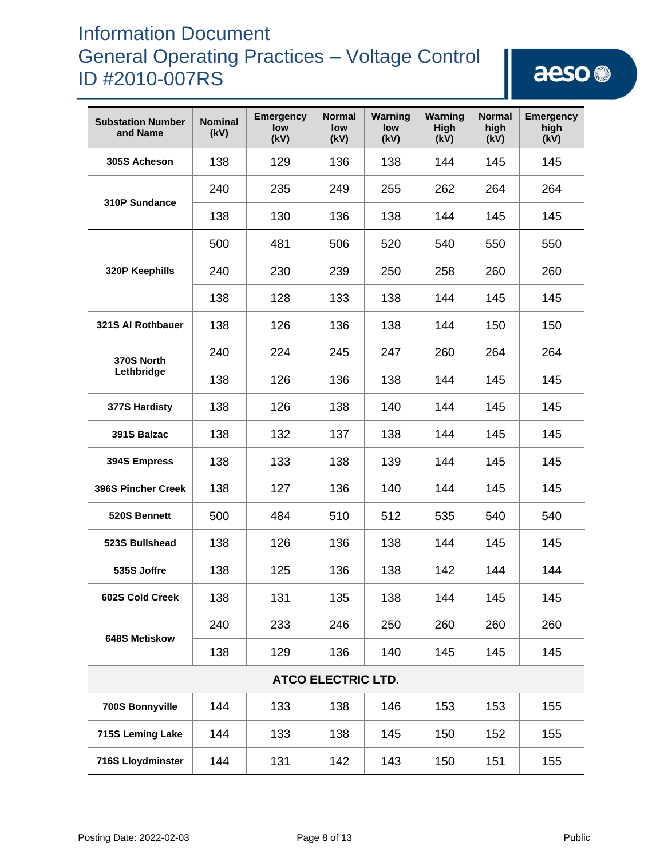| <b>Substation Number</b><br>and Name | <b>Nominal</b><br>(kV) | <b>Emergency</b><br>low<br>(kV) | <b>Normal</b><br>low<br>(kV) | Warning<br>low<br>(kV) | Warning<br><b>High</b><br>(kV) | <b>Normal</b><br>high<br>(kV) | <b>Emergency</b><br>high<br>(kV) |
|--------------------------------------|------------------------|---------------------------------|------------------------------|------------------------|--------------------------------|-------------------------------|----------------------------------|
| 305S Acheson                         | 138                    | 129                             | 136                          | 138                    | 144                            | 145                           | 145                              |
|                                      | 240                    | 235                             | 249                          | 255                    | 262                            | 264                           | 264                              |
| 310P Sundance                        | 138                    | 130                             | 136                          | 138                    | 144                            | 145                           | 145                              |
|                                      | 500                    | 481                             | 506                          | 520                    | 540                            | 550                           | 550                              |
| 320P Keephills                       | 240                    | 230                             | 239                          | 250                    | 258                            | 260                           | 260                              |
|                                      | 138                    | 128                             | 133                          | 138                    | 144                            | 145                           | 145                              |
| 321S Al Rothbauer                    | 138                    | 126                             | 136                          | 138                    | 144                            | 150                           | 150                              |
| 370S North                           | 240                    | 224                             | 245                          | 247                    | 260                            | 264                           | 264                              |
| Lethbridge                           | 138                    | 126                             | 136                          | 138                    | 144                            | 145                           | 145                              |
| 377S Hardisty                        | 138                    | 126                             | 138                          | 140                    | 144                            | 145                           | 145                              |
| 391S Balzac                          | 138                    | 132                             | 137                          | 138                    | 144                            | 145                           | 145                              |
| 394S Empress                         | 138                    | 133                             | 138                          | 139                    | 144                            | 145                           | 145                              |
| <b>396S Pincher Creek</b>            | 138                    | 127                             | 136                          | 140                    | 144                            | 145                           | 145                              |
| 520S Bennett                         | 500                    | 484                             | 510                          | 512                    | 535                            | 540                           | 540                              |
| 523S Bullshead                       | 138                    | 126                             | 136                          | 138                    | 144                            | 145                           | 145                              |
| 535S Joffre                          | 138                    | 125                             | 136                          | 138                    | 142                            | 144                           | 144                              |
| 602S Cold Creek                      | 138                    | 131                             | 135                          | 138                    | 144                            | 145                           | 145                              |
| 648S Metiskow                        | 240                    | 233                             | 246                          | 250                    | 260                            | 260                           | 260                              |
|                                      | 138                    | 129                             | 136                          | 140                    | 145                            | 145                           | 145                              |
|                                      |                        |                                 | <b>ATCO ELECTRIC LTD.</b>    |                        |                                |                               |                                  |
| 700S Bonnyville                      | 144                    | 133                             | 138                          | 146                    | 153                            | 153                           | 155                              |
| 715S Leming Lake                     | 144                    | 133                             | 138                          | 145                    | 150                            | 152                           | 155                              |
| 716S Lloydminster                    | 144                    | 131                             | 142                          | 143                    | 150                            | 151                           | 155                              |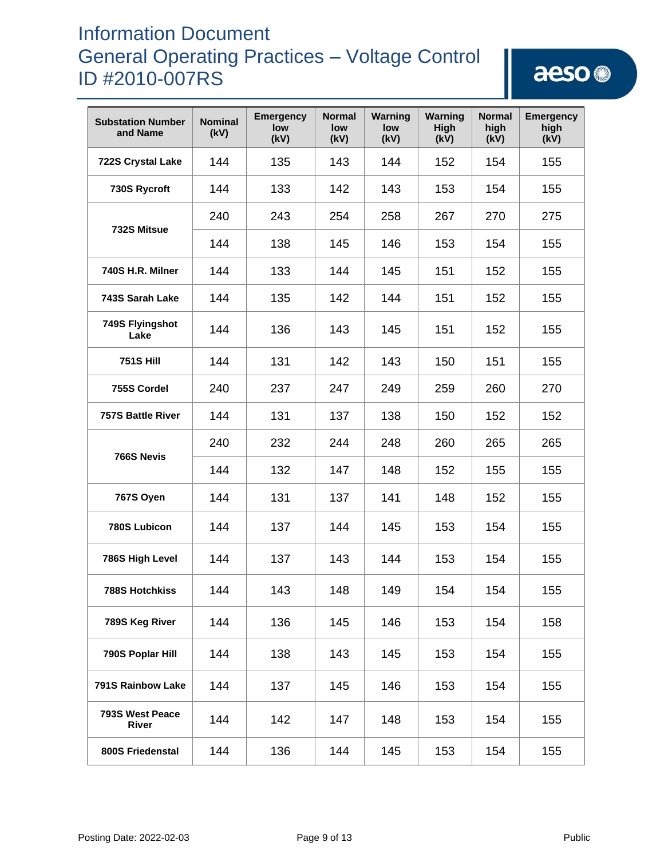| <b>Substation Number</b><br>and Name | <b>Nominal</b><br>(kV) | <b>Emergency</b><br>low<br>(kV) | <b>Normal</b><br>low<br>(kV) | Warning<br>low<br>(kV) | Warning<br><b>High</b><br>(kV) | <b>Normal</b><br>high<br>(kV) | <b>Emergency</b><br>high<br>(kV) |
|--------------------------------------|------------------------|---------------------------------|------------------------------|------------------------|--------------------------------|-------------------------------|----------------------------------|
| 722S Crystal Lake                    | 144                    | 135                             | 143                          | 144                    | 152                            | 154                           | 155                              |
| 730S Rycroft                         | 144                    | 133                             | 142                          | 143                    | 153                            | 154                           | 155                              |
|                                      | 240                    | 243                             | 254                          | 258                    | 267                            | 270                           | 275                              |
| 732S Mitsue                          | 144                    | 138                             | 145                          | 146                    | 153                            | 154                           | 155                              |
| 740S H.R. Milner                     | 144                    | 133                             | 144                          | 145                    | 151                            | 152                           | 155                              |
| 743S Sarah Lake                      | 144                    | 135                             | 142                          | 144                    | 151                            | 152                           | 155                              |
| 749S Flyingshot<br>Lake              | 144                    | 136                             | 143                          | 145                    | 151                            | 152                           | 155                              |
| <b>751S Hill</b>                     | 144                    | 131                             | 142                          | 143                    | 150                            | 151                           | 155                              |
| 755S Cordel                          | 240                    | 237                             | 247                          | 249                    | 259                            | 260                           | 270                              |
| <b>757S Battle River</b>             | 144                    | 131                             | 137                          | 138                    | 150                            | 152                           | 152                              |
| 766S Nevis                           | 240                    | 232                             | 244                          | 248                    | 260                            | 265                           | 265                              |
|                                      | 144                    | 132                             | 147                          | 148                    | 152                            | 155                           | 155                              |
| 767S Oyen                            | 144                    | 131                             | 137                          | 141                    | 148                            | 152                           | 155                              |
| 780S Lubicon                         | 144                    | 137                             | 144                          | 145                    | 153                            | 154                           | 155                              |
| 786S High Level                      | 144                    | 137                             | 143                          | 144                    | 153                            | 154                           | 155                              |
| <b>788S Hotchkiss</b>                | 144                    | 143                             | 148                          | 149                    | 154                            | 154                           | 155                              |
| 789S Keg River                       | 144                    | 136                             | 145                          | 146                    | 153                            | 154                           | 158                              |
| 790S Poplar Hill                     | 144                    | 138                             | 143                          | 145                    | 153                            | 154                           | 155                              |
| 791S Rainbow Lake                    | 144                    | 137                             | 145                          | 146                    | 153                            | 154                           | 155                              |
| 793S West Peace<br><b>River</b>      | 144                    | 142                             | 147                          | 148                    | 153                            | 154                           | 155                              |
| 800S Friedenstal                     | 144                    | 136                             | 144                          | 145                    | 153                            | 154                           | 155                              |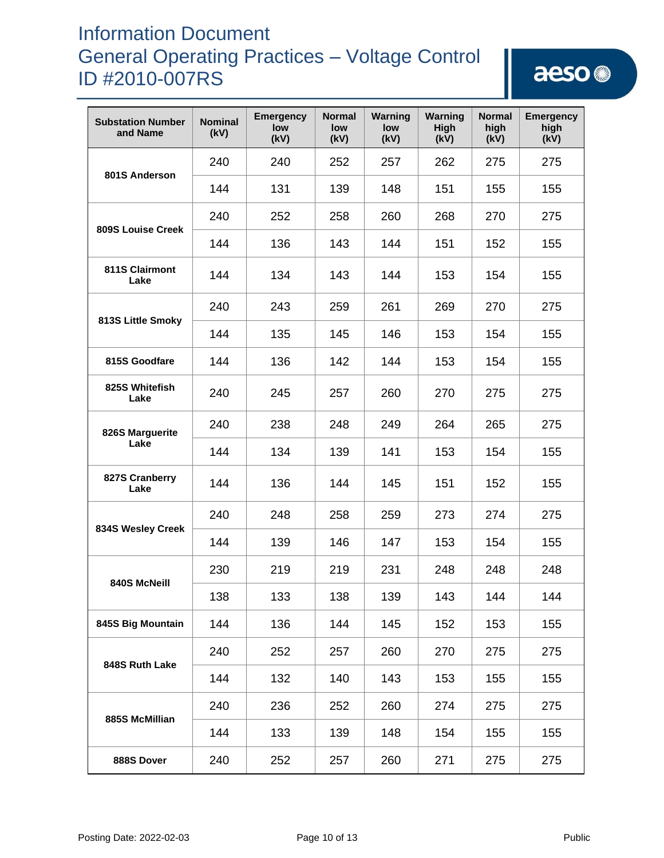| <b>Substation Number</b><br>and Name | <b>Nominal</b><br>(kV) | <b>Emergency</b><br>low<br>(kV) | <b>Normal</b><br>low<br>(kV) | Warning<br>low<br>(kV) | Warning<br>High<br>(kV) | <b>Normal</b><br>high<br>(kV) | <b>Emergency</b><br>high<br>(kV) |
|--------------------------------------|------------------------|---------------------------------|------------------------------|------------------------|-------------------------|-------------------------------|----------------------------------|
| 801S Anderson                        | 240                    | 240                             | 252                          | 257                    | 262                     | 275                           | 275                              |
|                                      | 144                    | 131                             | 139                          | 148                    | 151                     | 155                           | 155                              |
| <b>809S Louise Creek</b>             | 240                    | 252                             | 258                          | 260                    | 268                     | 270                           | 275                              |
|                                      | 144                    | 136                             | 143                          | 144                    | 151                     | 152                           | 155                              |
| 811S Clairmont<br>Lake               | 144                    | 134                             | 143                          | 144                    | 153                     | 154                           | 155                              |
| 813S Little Smoky                    | 240                    | 243                             | 259                          | 261                    | 269                     | 270                           | 275                              |
|                                      | 144                    | 135                             | 145                          | 146                    | 153                     | 154                           | 155                              |
| 815S Goodfare                        | 144                    | 136                             | 142                          | 144                    | 153                     | 154                           | 155                              |
| 825S Whitefish<br>Lake               | 240                    | 245                             | 257                          | 260                    | 270                     | 275                           | 275                              |
| 826S Marguerite                      | 240                    | 238                             | 248                          | 249                    | 264                     | 265                           | 275                              |
| Lake                                 | 144                    | 134                             | 139                          | 141                    | 153                     | 154                           | 155                              |
| 827S Cranberry<br>Lake               | 144                    | 136                             | 144                          | 145                    | 151                     | 152                           | 155                              |
| 834S Wesley Creek                    | 240                    | 248                             | 258                          | 259                    | 273                     | 274                           | 275                              |
|                                      | 144                    | 139                             | 146                          | 147                    | 153                     | 154                           | 155                              |
| 840S McNeill                         | 230                    | 219                             | 219                          | 231                    | 248                     | 248                           | 248                              |
|                                      | 138                    | 133                             | 138                          | 139                    | 143                     | 144                           | 144                              |
| 845S Big Mountain                    | 144                    | 136                             | 144                          | 145                    | 152                     | 153                           | 155                              |
| 848S Ruth Lake                       | 240                    | 252                             | 257                          | 260                    | 270                     | 275                           | 275                              |
|                                      | 144                    | 132                             | 140                          | 143                    | 153                     | 155                           | 155                              |
| 885S McMillian                       | 240                    | 236                             | 252                          | 260                    | 274                     | 275                           | 275                              |
|                                      | 144                    | 133                             | 139                          | 148                    | 154                     | 155                           | 155                              |
| 888S Dover                           | 240                    | 252                             | 257                          | 260                    | 271                     | 275                           | 275                              |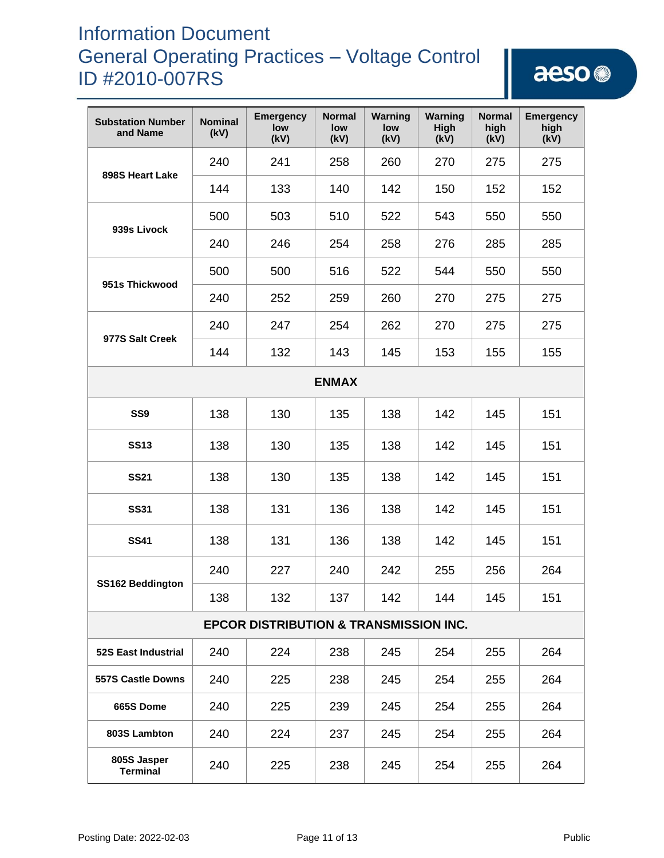| <b>Substation Number</b><br>and Name              | <b>Nominal</b><br>(kV) | <b>Emergency</b><br>low<br>(kV) | <b>Normal</b><br>low<br>(kV) | Warning<br>low<br>(kV) | Warning<br>High<br>(kV) | <b>Normal</b><br>high<br>(kV) | <b>Emergency</b><br>high<br>(kV) |  |  |
|---------------------------------------------------|------------------------|---------------------------------|------------------------------|------------------------|-------------------------|-------------------------------|----------------------------------|--|--|
| 898S Heart Lake                                   | 240                    | 241                             | 258                          | 260                    | 270                     | 275                           | 275                              |  |  |
|                                                   | 144                    | 133                             | 140                          | 142                    | 150                     | 152                           | 152                              |  |  |
| 939s Livock                                       | 500                    | 503                             | 510                          | 522                    | 543                     | 550                           | 550                              |  |  |
|                                                   | 240                    | 246                             | 254                          | 258                    | 276                     | 285                           | 285                              |  |  |
| 951s Thickwood                                    | 500                    | 500                             | 516                          | 522                    | 544                     | 550                           | 550                              |  |  |
|                                                   | 240                    | 252                             | 259                          | 260                    | 270                     | 275                           | 275                              |  |  |
| 977S Salt Creek                                   | 240                    | 247                             | 254                          | 262                    | 270                     | 275                           | 275                              |  |  |
|                                                   | 144                    | 132                             | 143                          | 145                    | 153                     | 155                           | 155                              |  |  |
| <b>ENMAX</b>                                      |                        |                                 |                              |                        |                         |                               |                                  |  |  |
| SS <sub>9</sub>                                   | 138                    | 130                             | 135                          | 138                    | 142                     | 145                           | 151                              |  |  |
| <b>SS13</b>                                       | 138                    | 130                             | 135                          | 138                    | 142                     | 145                           | 151                              |  |  |
| <b>SS21</b>                                       | 138                    | 130                             | 135                          | 138                    | 142                     | 145                           | 151                              |  |  |
| <b>SS31</b>                                       | 138                    | 131                             | 136                          | 138                    | 142                     | 145                           | 151                              |  |  |
| <b>SS41</b>                                       | 138                    | 131                             | 136                          | 138                    | 142                     | 145                           | 151                              |  |  |
| SS162 Beddington                                  | 240                    | 227                             | 240                          | 242                    | 255                     | 256                           | 264                              |  |  |
|                                                   | 138                    | 132                             | 137                          | 142                    | 144                     | 145                           | 151                              |  |  |
| <b>EPCOR DISTRIBUTION &amp; TRANSMISSION INC.</b> |                        |                                 |                              |                        |                         |                               |                                  |  |  |
| 52S East Industrial                               | 240                    | 224                             | 238                          | 245                    | 254                     | 255                           | 264                              |  |  |
| <b>557S Castle Downs</b>                          | 240                    | 225                             | 238                          | 245                    | 254                     | 255                           | 264                              |  |  |
| 665S Dome                                         | 240                    | 225                             | 239                          | 245                    | 254                     | 255                           | 264                              |  |  |
| 803S Lambton                                      | 240                    | 224                             | 237                          | 245                    | 254                     | 255                           | 264                              |  |  |
| 805S Jasper<br><b>Terminal</b>                    | 240                    | 225                             | 238                          | 245                    | 254                     | 255                           | 264                              |  |  |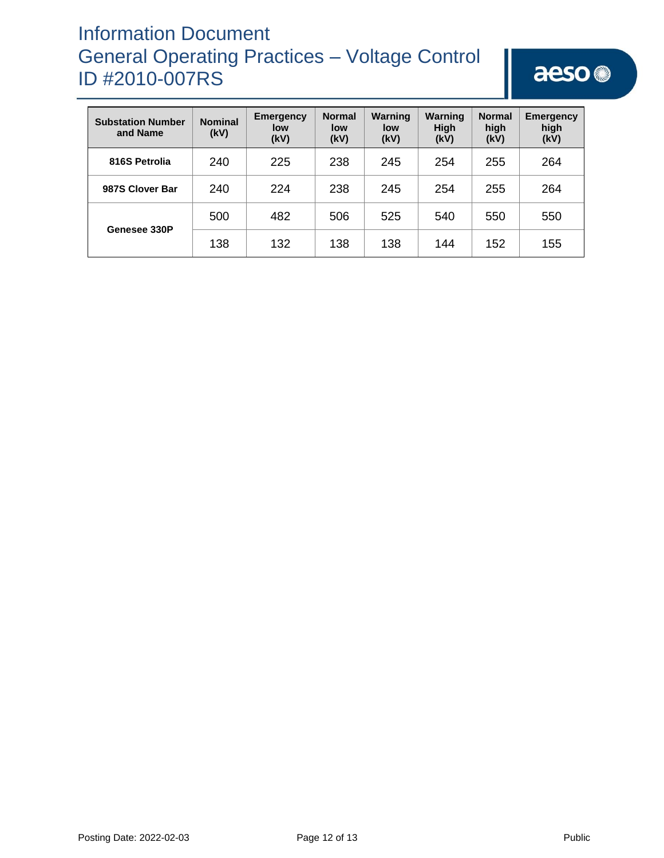| <b>Substation Number</b><br>and Name | <b>Nominal</b><br>(kV) | <b>Emergency</b><br>low<br>(kV) | <b>Normal</b><br>low<br>(kV) | Warning<br>low<br>(kV) | Warning<br><b>High</b><br>(kV) | <b>Normal</b><br>high<br>(kV) | <b>Emergency</b><br>high<br>(kV) |
|--------------------------------------|------------------------|---------------------------------|------------------------------|------------------------|--------------------------------|-------------------------------|----------------------------------|
| 816S Petrolia                        | 240                    | 225                             | 238                          | 245                    | 254                            | 255                           | 264                              |
| 987S Clover Bar                      | 240                    | 224                             | 238                          | 245                    | 254                            | 255                           | 264                              |
| Genesee 330P                         | 500                    | 482                             | 506                          | 525                    | 540                            | 550                           | 550                              |
|                                      | 138                    | 132                             | 138                          | 138                    | 144                            | 152                           | 155                              |